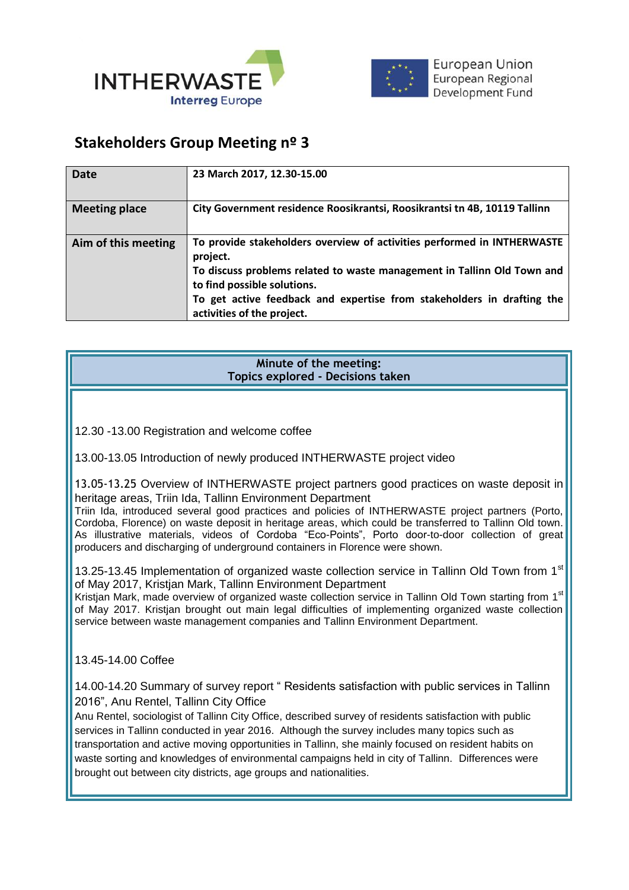



## **Stakeholders Group Meeting nº 3**

| Date                 | 23 March 2017, 12.30-15.00                                                                                                                                                                                                                                                                            |
|----------------------|-------------------------------------------------------------------------------------------------------------------------------------------------------------------------------------------------------------------------------------------------------------------------------------------------------|
| <b>Meeting place</b> | City Government residence Roosikrantsi, Roosikrantsi tn 4B, 10119 Tallinn                                                                                                                                                                                                                             |
| Aim of this meeting  | To provide stakeholders overview of activities performed in INTHERWASTE<br>project.<br>To discuss problems related to waste management in Tallinn Old Town and<br>to find possible solutions.<br>To get active feedback and expertise from stakeholders in drafting the<br>activities of the project. |

| Minute of the meeting:            |
|-----------------------------------|
| Topics explored - Decisions taken |

12.30 -13.00 Registration and welcome coffee

13.00-13.05 Introduction of newly produced INTHERWASTE project video

13.05-13.25 Overview of INTHERWASTE project partners good practices on waste deposit in heritage areas, Triin Ida, Tallinn Environment Department

Triin Ida, introduced several good practices and policies of INTHERWASTE project partners (Porto, Cordoba, Florence) on waste deposit in heritage areas, which could be transferred to Tallinn Old town. As illustrative materials, videos of Cordoba "Eco-Points", Porto door-to-door collection of great producers and discharging of underground containers in Florence were shown.

13.25-13.45 Implementation of organized waste collection service in Tallinn Old Town from 1st of May 2017, Kristjan Mark, Tallinn Environment Department

Kristian Mark, made overview of organized waste collection service in Tallinn Old Town starting from 1<sup>st</sup> of May 2017. Kristjan brought out main legal difficulties of implementing organized waste collection service between waste management companies and Tallinn Environment Department.

13.45-14.00 Coffee

14.00-14.20 Summary of survey report " Residents satisfaction with public services in Tallinn 2016", Anu Rentel, Tallinn City Office

Anu Rentel, sociologist of Tallinn City Office, described survey of residents satisfaction with public services in Tallinn conducted in year 2016. Although the survey includes many topics such as transportation and active moving opportunities in Tallinn, she mainly focused on resident habits on waste sorting and knowledges of environmental campaigns held in city of Tallinn. Differences were brought out between city districts, age groups and nationalities.